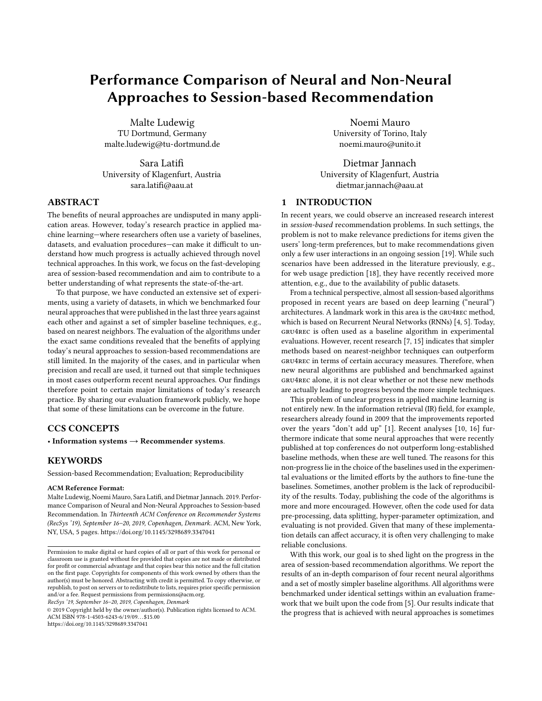# Performance Comparison of Neural and Non-Neural Approaches to Session-based Recommendation

Malte Ludewig TU Dortmund, Germany malte.ludewig@tu-dortmund.de

Sara Latifi University of Klagenfurt, Austria sara.latifi@aau.at

# ABSTRACT

The benefits of neural approaches are undisputed in many application areas. However, today's research practice in applied machine learning—where researchers often use a variety of baselines, datasets, and evaluation procedures—can make it difficult to understand how much progress is actually achieved through novel technical approaches. In this work, we focus on the fast-developing area of session-based recommendation and aim to contribute to a better understanding of what represents the state-of-the-art.

To that purpose, we have conducted an extensive set of experiments, using a variety of datasets, in which we benchmarked four neural approaches that were published in the last three years against each other and against a set of simpler baseline techniques, e.g., based on nearest neighbors. The evaluation of the algorithms under the exact same conditions revealed that the benefits of applying today's neural approaches to session-based recommendations are still limited. In the majority of the cases, and in particular when precision and recall are used, it turned out that simple techniques in most cases outperform recent neural approaches. Our findings therefore point to certain major limitations of today's research practice. By sharing our evaluation framework publicly, we hope that some of these limitations can be overcome in the future.

# CCS CONCEPTS

• Information systems  $\rightarrow$  Recommender systems.

#### **KEYWORDS**

Session-based Recommendation; Evaluation; Reproducibility

#### ACM Reference Format:

Malte Ludewig, Noemi Mauro, Sara Latifi, and Dietmar Jannach. 2019. Performance Comparison of Neural and Non-Neural Approaches to Session-based Recommendation. In Thirteenth ACM Conference on Recommender Systems (RecSys '19), September 16–20, 2019, Copenhagen, Denmark. ACM, New York, NY, USA, [5](#page-4-0) pages.<https://doi.org/10.1145/3298689.3347041>

RecSys '19, September 16–20, 2019, Copenhagen, Denmark

© 2019 Copyright held by the owner/author(s). Publication rights licensed to ACM. ACM ISBN 978-1-4503-6243-6/19/09. . . \$15.00 <https://doi.org/10.1145/3298689.3347041>

Noemi Mauro University of Torino, Italy noemi.mauro@unito.it

Dietmar Jannach University of Klagenfurt, Austria dietmar.jannach@aau.at

### 1 INTRODUCTION

In recent years, we could observe an increased research interest in session-based recommendation problems. In such settings, the problem is not to make relevance predictions for items given the users' long-term preferences, but to make recommendations given only a few user interactions in an ongoing session [\[19\]](#page-4-1). While such scenarios have been addressed in the literature previously, e.g., for web usage prediction [\[18\]](#page-4-2), they have recently received more attention, e.g., due to the availability of public datasets.

From a technical perspective, almost all session-based algorithms proposed in recent years are based on deep learning ("neural") architectures. A landmark work in this area is the gru4rec method, which is based on Recurrent Neural Networks (RNNs) [\[4,](#page-4-3) [5\]](#page-4-4). Today, gru4rec is often used as a baseline algorithm in experimental evaluations. However, recent research [\[7,](#page-4-5) [15\]](#page-4-6) indicates that simpler methods based on nearest-neighbor techniques can outperform gru4rec in terms of certain accuracy measures. Therefore, when new neural algorithms are published and benchmarked against gru4rec alone, it is not clear whether or not these new methods are actually leading to progress beyond the more simple techniques.

This problem of unclear progress in applied machine learning is not entirely new. In the information retrieval (IR) field, for example, researchers already found in 2009 that the improvements reported over the years "don't add up" [\[1\]](#page-4-7). Recent analyses [\[10,](#page-4-8) [16\]](#page-4-9) furthermore indicate that some neural approaches that were recently published at top conferences do not outperform long-established baseline methods, when these are well tuned. The reasons for this non-progress lie in the choice of the baselines used in the experimental evaluations or the limited efforts by the authors to fine-tune the baselines. Sometimes, another problem is the lack of reproducibility of the results. Today, publishing the code of the algorithms is more and more encouraged. However, often the code used for data pre-processing, data splitting, hyper-parameter optimization, and evaluating is not provided. Given that many of these implementation details can affect accuracy, it is often very challenging to make reliable conclusions.

With this work, our goal is to shed light on the progress in the area of session-based recommendation algorithms. We report the results of an in-depth comparison of four recent neural algorithms and a set of mostly simpler baseline algorithms. All algorithms were benchmarked under identical settings within an evaluation framework that we built upon the code from [\[5\]](#page-4-4). Our results indicate that the progress that is achieved with neural approaches is sometimes

Permission to make digital or hard copies of all or part of this work for personal or classroom use is granted without fee provided that copies are not made or distributed for profit or commercial advantage and that copies bear this notice and the full citation on the first page. Copyrights for components of this work owned by others than the author(s) must be honored. Abstracting with credit is permitted. To copy otherwise, or republish, to post on servers or to redistribute to lists, requires prior specific permission and/or a fee. Request permissions from permissions@acm.org.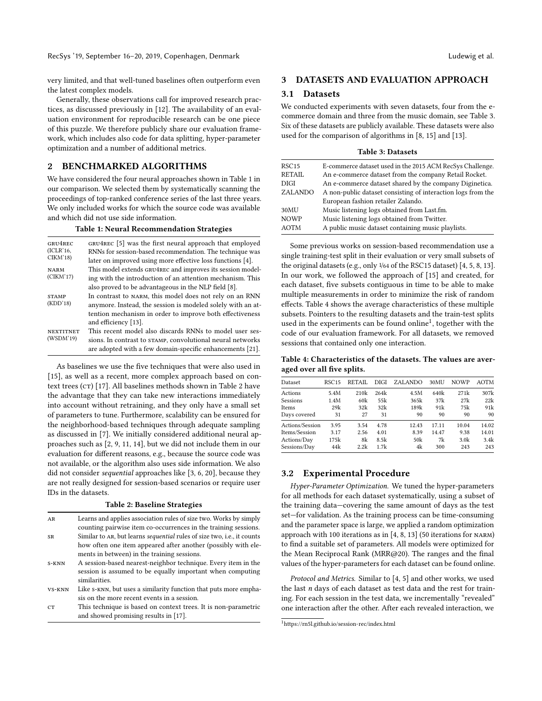RecSys '19, September 16-20, 2019, Copenhagen, Denmark Ludewig et al. (2014) and the United States of the United States and Ludewig et al.

very limited, and that well-tuned baselines often outperform even the latest complex models.

Generally, these observations call for improved research practices, as discussed previously in [\[12\]](#page-4-10). The availability of an evaluation environment for reproducible research can be one piece of this puzzle. We therefore publicly share our evaluation framework, which includes also code for data splitting, hyper-parameter optimization and a number of additional metrics.

# 2 BENCHMARKED ALGORITHMS

We have considered the four neural approaches shown in Table [1](#page-1-0) in our comparison. We selected them by systematically scanning the proceedings of top-ranked conference series of the last three years. We only included works for which the source code was available and which did not use side information.

Table 1: Neural Recommendation Strategies

<span id="page-1-0"></span>

| GRU4REC<br>(ICLR'16,          | GRU4REC [5] was the first neural approach that employed<br>RNNs for session-based recommendation. The technique was |
|-------------------------------|---------------------------------------------------------------------------------------------------------------------|
| CIKM'18)                      | later on improved using more effective loss functions [4].                                                          |
| <b>NARM</b>                   | This model extends GRU4REC and improves its session model-                                                          |
| (CIKM'17)                     | ing with the introduction of an attention mechanism. This                                                           |
|                               | also proved to be advantageous in the NLP field [8].                                                                |
| <b>STAMP</b>                  | In contrast to NARM, this model does not rely on an RNN                                                             |
| (KDD'18)                      | anymore. Instead, the session is modeled solely with an at-                                                         |
|                               | tention mechanism in order to improve both effectiveness                                                            |
|                               | and efficiency [13].                                                                                                |
| <b>NEXTITNET</b><br>(WSDM'19) | This recent model also discards RNNs to model user ses-                                                             |
|                               | sions. In contrast to STAMP, convolutional neural networks                                                          |
|                               | are adopted with a few domain-specific enhancements [21].                                                           |

As baselines we use the five techniques that were also used in [\[15\]](#page-4-6), as well as a recent, more complex approach based on con-text trees (CT) [\[17\]](#page-4-14). All baselines methods shown in Table [2](#page-1-1) have the advantage that they can take new interactions immediately into account without retraining, and they only have a small set of parameters to tune. Furthermore, scalability can be ensured for the neighborhood-based techniques through adequate sampling as discussed in [\[7\]](#page-4-5). We initially considered additional neural approaches such as [\[2,](#page-4-15) [9,](#page-4-16) [11,](#page-4-17) [14\]](#page-4-18), but we did not include them in our evaluation for different reasons, e.g., because the source code was not available, or the algorithm also uses side information. We also did not consider sequential approaches like [\[3,](#page-4-19) [6,](#page-4-20) [20\]](#page-4-21), because they are not really designed for session-based scenarios or require user IDs in the datasets.

#### Table 2: Baseline Strategies

<span id="page-1-1"></span>

| AR    | Learns and applies association rules of size two. Works by simply                      |
|-------|----------------------------------------------------------------------------------------|
|       | counting pairwise item co-occurrences in the training sessions.                        |
| SR    | Similar to AR, but learns <i>sequential</i> rules of size two, <i>i.e.</i> , it counts |
|       | how often one item appeared after another (possibly with ele-                          |
|       | ments in between) in the training sessions.                                            |
| S-KNN | A session-based nearest-neighbor technique. Every item in the                          |

session is assumed to be equally important when computing similarities.

- vs-knn Like s-knn, but uses a similarity function that puts more emphasis on the more recent events in a session.
- cr This technique is based on context trees. It is non-parametric and showed promising results in [\[17\]](#page-4-14).

### 3 DATASETS AND EVALUATION APPROACH

#### 3.1 Datasets

We conducted experiments with seven datasets, four from the ecommerce domain and three from the music domain, see Table [3.](#page-1-2) Six of these datasets are publicly available. These datasets were also used for the comparison of algorithms in [\[8,](#page-4-11) [15\]](#page-4-6) and [\[13\]](#page-4-12).

| <b>Table 3: Datasets</b> |  |  |  |  |
|--------------------------|--|--|--|--|
|--------------------------|--|--|--|--|

<span id="page-1-2"></span>

| RSC15   | E-commerce dataset used in the 2015 ACM RecSys Challenge.    |
|---------|--------------------------------------------------------------|
|         |                                                              |
| RETAIL  | An e-commerce dataset from the company Retail Rocket.        |
| DIGI    | An e-commerce dataset shared by the company Diginetica.      |
| ZALANDO | A non-public dataset consisting of interaction logs from the |
|         | European fashion retailer Zalando.                           |
| 30MU    | Music listening logs obtained from Last.fm.                  |
| NOWP    | Music listening logs obtained from Twitter.                  |
| AOTM    | A public music dataset containing music playlists.           |
|         |                                                              |

Some previous works on session-based recommendation use a single training-test split in their evaluation or very small subsets of the original datasets (e.g., only 1/64 of the RSC15 dataset) [\[4,](#page-4-3) [5,](#page-4-4) [8,](#page-4-11) [13\]](#page-4-12). In our work, we followed the approach of [\[15\]](#page-4-6) and created, for each dataset, five subsets contiguous in time to be able to make multiple measurements in order to minimize the risk of random effects. Table [4](#page-1-3) shows the average characteristics of these multiple subsets. Pointers to the resulting datasets and the train-test splits used in the experiments can be found online<sup>[1](#page-1-4)</sup>, together with the code of our evaluation framework. For all datasets, we removed sessions that contained only one interaction.

<span id="page-1-3"></span>Table 4: Characteristics of the datasets. The values are averaged over all five splits.

| Dataset         | RSC15 | RETAIL | DIGI | ZALANDO | 30MU  | <b>NOWP</b>      | <b>AOTM</b> |
|-----------------|-------|--------|------|---------|-------|------------------|-------------|
| Actions         | 5.4M  | 210k   | 264k | 4.5M    | 640k  | 271k             | 307k        |
| Sessions        | 1.4M  | 60k    | 55k  | 365k    | 37k   | 27k              | 22k         |
| <b>Items</b>    | 29k   | 32k    | 32k  | 189k    | 91k   | 75k              | 91k         |
| Days covered    | 31    | 27     | 31   | 90      | 90    | 90               | 90          |
| Actions/Session | 3.95  | 3.54   | 4.78 | 12.43   | 17.11 | 10.04            | 14.02       |
| Items/Session   | 3.17  | 2.56   | 4.01 | 8.39    | 14.47 | 9.38             | 14.01       |
| Actions/Day     | 175k  | 8k     | 8.5k | 50k     | 7k    | 3.0 <sub>k</sub> | 3.4k        |
| Sessions/Day    | 44k   | 2.2k   | 1.7k | 4k      | 300   | 243              | 243         |

#### 3.2 Experimental Procedure

Hyper-Parameter Optimization. We tuned the hyper-parameters for all methods for each dataset systematically, using a subset of the training data—covering the same amount of days as the test set—for validation. As the training process can be time-consuming and the parameter space is large, we applied a random optimization approach with 100 iterations as in [\[4,](#page-4-3) [8,](#page-4-11) [13\]](#page-4-12) (50 iterations for narm) to find a suitable set of parameters. All models were optimized for the Mean Reciprocal Rank (MRR@20). The ranges and the final values of the hyper-parameters for each dataset can be found online.

Protocol and Metrics. Similar to [\[4,](#page-4-3) [5\]](#page-4-4) and other works, we used the last  $n$  days of each dataset as test data and the rest for training. For each session in the test data, we incrementally "revealed" one interaction after the other. After each revealed interaction, we

<span id="page-1-4"></span><sup>1</sup><https://rn5l.github.io/session-rec/index.html>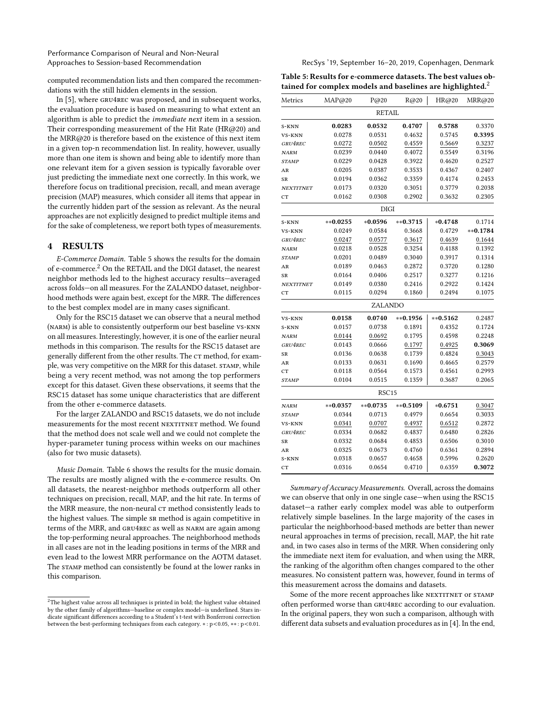Performance Comparison of Neural and Non-Neural Approaches to Session-based Recommendation **RecSys** '19, September 16–20, 2019, Copenhagen, Denmark

computed recommendation lists and then compared the recommendations with the still hidden elements in the session.

In [\[5\]](#page-4-4), where gru4rec was proposed, and in subsequent works, the evaluation procedure is based on measuring to what extent an algorithm is able to predict the immediate next item in a session. Their corresponding measurement of the Hit Rate (HR@20) and the MRR@20 is therefore based on the existence of this next item in a given top-n recommendation list. In reality, however, usually more than one item is shown and being able to identify more than one relevant item for a given session is typically favorable over just predicting the immediate next one correctly. In this work, we therefore focus on traditional precision, recall, and mean average precision (MAP) measures, which consider all items that appear in the currently hidden part of the session as relevant. As the neural approaches are not explicitly designed to predict multiple items and for the sake of completeness, we report both types of measurements.

#### 4 RESULTS

E-Commerce Domain. Table [5](#page-2-0) shows the results for the domain of e-commerce.<sup>[2](#page-2-1)</sup> On the RETAIL and the DIGI dataset, the nearest neighbor methods led to the highest accuracy results—averaged across folds—on all measures. For the ZALANDO dataset, neighborhood methods were again best, except for the MRR. The differences to the best complex model are in many cases significant.

Only for the RSC15 dataset we can observe that a neural method (narm) is able to consistently outperform our best baseline vs-knn on all measures. Interestingly, however, it is one of the earlier neural methods in this comparison. The results for the RSC15 dataset are generally different from the other results. The CT method, for example, was very competitive on the MRR for this dataset. STAMP, while being a very recent method, was not among the top performers except for this dataset. Given these observations, it seems that the RSC15 dataset has some unique characteristics that are different from the other e-commerce datasets.

For the larger ZALANDO and RSC15 datasets, we do not include measurements for the most recent NEXTITNET method. We found that the method does not scale well and we could not complete the hyper-parameter tuning process within weeks on our machines (also for two music datasets).

Music Domain. Table [6](#page-3-0) shows the results for the music domain. The results are mostly aligned with the e-commerce results. On all datasets, the nearest-neighbor methods outperform all other techniques on precision, recall, MAP, and the hit rate. In terms of the MRR measure, the non-neural  $c\tau$  method consistently leads to the highest values. The simple sr method is again competitive in terms of the MRR, and gru4rec as well as narm are again among the top-performing neural approaches. The neighborhood methods in all cases are not in the leading positions in terms of the MRR and even lead to the lowest MRR performance on the AOTM dataset. The stamp method can consistently be found at the lower ranks in this comparison.

<span id="page-2-0"></span>Table 5: Results for e-commerce datasets. The best values obtained for complex models and baselines are highlighted.<sup>2</sup>

| Metrics          | MAP@20     | P@20              | R@20       | HR@20      | MRR@20     |
|------------------|------------|-------------------|------------|------------|------------|
|                  |            | <b>RETAIL</b>     |            |            |            |
| S-KNN            | 0.0283     | 0.0532            | 0.4707     | 0.5788     | 0.3370     |
| VS-KNN           | 0.0278     | 0.0531            | 0.4632     | 0.5745     | 0.3395     |
| GRU4REC          | 0.0272     | 0.0502            | 0.4559     | 0.5669     | 0.3237     |
| <b>NARM</b>      | 0.0239     | 0.0440            | 0.4072     | 0.5549     | 0.3196     |
| <b>STAMP</b>     | 0.0229     | 0.0428            | 0.3922     | 0.4620     | 0.2527     |
| AR               | 0.0205     | 0.0387            | 0.3533     | 0.4367     | 0.2407     |
| SR               | 0.0194     | 0.0362            | 0.3359     | 0.4174     | 0.2453     |
| <b>NEXTITNET</b> | 0.0173     | 0.0320            | 0.3051     | 0.3779     | 0.2038     |
| CT               | 0.0162     | 0.0308            | 0.2902     | 0.3632     | 0.2305     |
|                  |            | DIGI              |            |            |            |
| S-KNN            | $**0.0255$ | $*0.0596$         | $**0.3715$ | $*0.4748$  | 0.1714     |
| VS-KNN           | 0.0249     | 0.0584            | 0.3668     | 0.4729     | $**0.1784$ |
| GRU4REC          | 0.0247     | 0.0577            | 0.3617     | 0.4639     | 0.1644     |
| <b>NARM</b>      | 0.0218     | 0.0528            | 0.3254     | 0.4188     | 0.1392     |
| <b>STAMP</b>     | 0.0201     | 0.0489            | 0.3040     | 0.3917     | 0.1314     |
| AR               | 0.0189     | 0.0463            | 0.2872     | 0.3720     | 0.1280     |
| SR               | 0.0164     | 0.0406            | 0.2517     | 0.3277     | 0.1216     |
| <b>NEXTITNET</b> | 0.0149     | 0.0380            | 0.2416     | 0.2922     | 0.1424     |
| CT               | 0.0115     | 0.0294            | 0.1860     | 0.2494     | 0.1075     |
|                  |            | ZALANDO           |            |            |            |
| VS-KNN           | 0.0158     | 0.0740            | $**0.1956$ | $**0.5162$ | 0.2487     |
| S-KNN            | 0.0157     | 0.0738            | 0.1891     | 0.4352     | 0.1724     |
| <b>NARM</b>      | 0.0144     | 0.0692            | 0.1795     | 0.4598     | 0.2248     |
| GRU4REC          | 0.0143     | 0.0666            | 0.1797     | 0.4925     | 0.3069     |
| SR               | 0.0136     | 0.0638            | 0.1739     | 0.4824     | 0.3043     |
| AR               | 0.0133     | 0.0631            | 0.1690     | 0.4665     | 0.2579     |
| CT               | 0.0118     | 0.0564            | 0.1573     | 0.4561     | 0.2993     |
| <b>STAMP</b>     | 0.0104     | 0.0515            | 0.1359     | 0.3687     | 0.2065     |
|                  |            | RSC <sub>15</sub> |            |            |            |
| <b>NARM</b>      | $**0.0357$ | $**0.0735$        | $**0.5109$ | $*0.6751$  | 0.3047     |
| <b>STAMP</b>     | 0.0344     | 0.0713            | 0.4979     | 0.6654     | 0.3033     |
| VS-KNN           | 0.0341     | 0.0707            | 0.4937     | 0.6512     | 0.2872     |
| GRU4REC          | 0.0334     | 0.0682            | 0.4837     | 0.6480     | 0.2826     |
| <b>SR</b>        | 0.0332     | 0.0684            | 0.4853     | 0.6506     | 0.3010     |
| AR               | 0.0325     | 0.0673            | 0.4760     | 0.6361     | 0.2894     |
| S-KNN            | 0.0318     | 0.0657            | 0.4658     | 0.5996     | 0.2620     |
| CT               | 0.0316     | 0.0654            | 0.4710     | 0.6359     | 0.3072     |

Summary of Accuracy Measurements. Overall, across the domains we can observe that only in one single case—when using the RSC15 dataset—a rather early complex model was able to outperform relatively simple baselines. In the large majority of the cases in particular the neighborhood-based methods are better than newer neural approaches in terms of precision, recall, MAP, the hit rate and, in two cases also in terms of the MRR. When considering only the immediate next item for evaluation, and when using the MRR, the ranking of the algorithm often changes compared to the other measures. No consistent pattern was, however, found in terms of this measurement across the domains and datasets.

Some of the more recent approaches like NEXTITNET or STAMP often performed worse than gru4rec according to our evaluation. In the original papers, they won such a comparison, although with different data subsets and evaluation procedures as in [\[4\]](#page-4-3). In the end,

<span id="page-2-1"></span> ${\rm ^2The}$  highest value across all techniques is printed in bold; the highest value obtained by the other family of algorithms—baseline or complex model—is underlined. Stars indicate significant differences according to a Student's t-test with Bonferroni correction between the best-performing techniques from each category. <sup>∗</sup> : p<0.05, ∗∗ : p<0.01.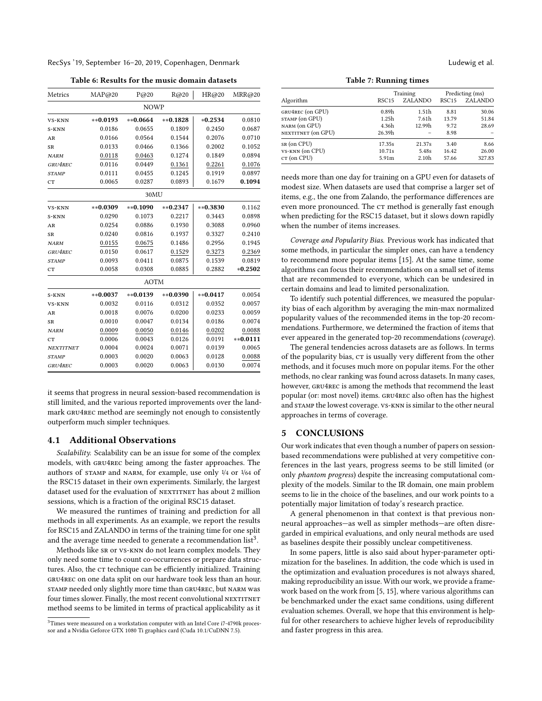RecSys '19, September 16-20, 2019, Copenhagen, Denmark Ludewig et al. (2014) and the United States and Ludewig et al.

Table 6: Results for the music domain datasets

<span id="page-3-0"></span>

| Metrics          | MAP@20     | P@20        | R@20       | HR@20          | MRR@20     |
|------------------|------------|-------------|------------|----------------|------------|
|                  |            | <b>NOWP</b> |            |                |            |
| <b>VS-KNN</b>    | $**0.0193$ | $**0.0664$  | $**0.1828$ | $*0.2534$      | 0.0810     |
| S-KNN            | 0.0186     | 0.0655      | 0.1809     | 0.2450         | 0.0687     |
| AR               | 0.0166     | 0.0564      | 0.1544     | 0.2076         | 0.0710     |
| SR               | 0.0133     | 0.0466      | 0.1366     | 0.2002         | 0.1052     |
| <b>NARM</b>      | 0.0118     | 0.0463      | 0.1274     | 0.1849         | 0.0894     |
| GRU4REC          | 0.0116     | 0.0449      | 0.1361     | 0.2261         | 0.1076     |
| <b>STAMP</b>     | 0.0111     | 0.0455      | 0.1245     | 0.1919         | 0.0897     |
| <b>CT</b>        | 0.0065     | 0.0287      | 0.0893     | 0.1679         | 0.1094     |
|                  |            | 30MU        |            |                |            |
| VS-KNN           | ** 0.0309  | ** 0.1090   | $**0.2347$ | $*$ $*$ 0.3830 | 0.1162     |
| S-KNN            | 0.0290     | 0.1073      | 0.2217     | 0.3443         | 0.0898     |
| AR               | 0.0254     | 0.0886      | 0.1930     | 0.3088         | 0.0960     |
| <b>SR</b>        | 0.0240     | 0.0816      | 0.1937     | 0.3327         | 0.2410     |
| <b>NARM</b>      | 0.0155     | 0.0675      | 0.1486     | 0.2956         | 0.1945     |
| GRU4REC          | 0.0150     | 0.0617      | 0.1529     | 0.3273         | 0.2369     |
| <b>STAMP</b>     | 0.0093     | 0.0411      | 0.0875     | 0.1539         | 0.0819     |
| <b>CT</b>        | 0.0058     | 0.0308      | 0.0885     | 0.2882         | $*0.2502$  |
|                  |            | <b>AOTM</b> |            |                |            |
| S-KNN            | $**0.0037$ | $*$ 0.0139  | $**0.0390$ | $**0.0417$     | 0.0054     |
| VS-KNN           | 0.0032     | 0.0116      | 0.0312     | 0.0352         | 0.0057     |
| AR               | 0.0018     | 0.0076      | 0.0200     | 0.0233         | 0.0059     |
| <b>SR</b>        | 0.0010     | 0.0047      | 0.0134     | 0.0186         | 0.0074     |
| <b>NARM</b>      | 0.0009     | 0.0050      | 0.0146     | 0.0202         | 0.0088     |
| CT               | 0.0006     | 0.0043      | 0.0126     | 0.0191         | $**0.0111$ |
| <b>NEXTITNET</b> | 0.0004     | 0.0024      | 0.0071     | 0.0139         | 0.0065     |
| <b>STAMP</b>     | 0.0003     | 0.0020      | 0.0063     | 0.0128         | 0.0088     |
| GRU4REC          | 0.0003     | 0.0020      | 0.0063     | 0.0130         | 0.0074     |

it seems that progress in neural session-based recommendation is still limited, and the various reported improvements over the landmark gru4rec method are seemingly not enough to consistently outperform much simpler techniques.

#### 4.1 Additional Observations

Scalability. Scalability can be an issue for some of the complex models, with gru4rec being among the faster approaches. The authors of stamp and narm, for example, use only 1/4 or 1/64 of the RSC15 dataset in their own experiments. Similarly, the largest dataset used for the evaluation of NEXTITNET has about 2 million sessions, which is a fraction of the original RSC15 dataset.

We measured the runtimes of training and prediction for all methods in all experiments. As an example, we report the results for RSC15 and ZALANDO in terms of the training time for one split and the average time needed to generate a recommendation  $\overrightarrow{\text{list}}^3$  $\overrightarrow{\text{list}}^3$ .

Methods like sr or vs-knn do not learn complex models. They only need some time to count co-occurrences or prepare data structures. Also, the CT technique can be efficiently initialized. Training gru4rec on one data split on our hardware took less than an hour. stamp needed only slightly more time than gru4rec, but narm was four times slower. Finally, the most recent convolutional NEXTITNET method seems to be limited in terms of practical applicability as it

Table 7: Running times

|                    | Training          |                   |                   | Predicting (ms) |  |  |
|--------------------|-------------------|-------------------|-------------------|-----------------|--|--|
| Algorithm          | RSC <sub>15</sub> | ZALANDO           | RSC <sub>15</sub> | ZALANDO         |  |  |
| GRU4REC (on GPU)   | 0.89 <sub>h</sub> | 1.51 <sub>h</sub> | 8.81              | 30.06           |  |  |
| STAMP (on GPU)     | 1.25h             | 7.61h             | 13.79             | 51.84           |  |  |
| NARM (on GPU)      | 4.36h             | 12.99h            | 9.72              | 28.69           |  |  |
| NEXTITNET (on GPU) | 26.39h            |                   | 8.98              |                 |  |  |
| sr (on CPU)        | 17.35s            | 21.37s            | 3.40              | 8.66            |  |  |
| VS-KNN (on CPU)    | 10.71s            | 5.48s             | 16.42             | 26.00           |  |  |
| CT (on CPU)        | 5.91m             | 2.10 <sub>h</sub> | 57.66             | 327.83          |  |  |

needs more than one day for training on a GPU even for datasets of modest size. When datasets are used that comprise a larger set of items, e.g., the one from Zalando, the performance differences are even more pronounced. The CT method is generally fast enough when predicting for the RSC15 dataset, but it slows down rapidly when the number of items increases.

Coverage and Popularity Bias. Previous work has indicated that some methods, in particular the simpler ones, can have a tendency to recommend more popular items [\[15\]](#page-4-6). At the same time, some algorithms can focus their recommendations on a small set of items that are recommended to everyone, which can be undesired in certain domains and lead to limited personalization.

To identify such potential differences, we measured the popularity bias of each algorithm by averaging the min-max normalized popularity values of the recommended items in the top-20 recommendations. Furthermore, we determined the fraction of items that ever appeared in the generated top-20 recommendations (coverage).

The general tendencies across datasets are as follows. In terms of the popularity bias,  $c\tau$  is usually very different from the other methods, and it focuses much more on popular items. For the other methods, no clear ranking was found across datasets. In many cases, however, GRU4REC is among the methods that recommend the least popular (or: most novel) items. gru4rec also often has the highest and STAMP the lowest coverage. VS-KNN is similar to the other neural approaches in terms of coverage.

# 5 CONCLUSIONS

Our work indicates that even though a number of papers on sessionbased recommendations were published at very competitive conferences in the last years, progress seems to be still limited (or only phantom progress) despite the increasing computational complexity of the models. Similar to the IR domain, one main problem seems to lie in the choice of the baselines, and our work points to a potentially major limitation of today's research practice.

A general phenomenon in that context is that previous nonneural approaches—as well as simpler methods—are often disregarded in empirical evaluations, and only neural methods are used as baselines despite their possibly unclear competitiveness.

In some papers, little is also said about hyper-parameter optimization for the baselines. In addition, the code which is used in the optimization and evaluation procedures is not always shared, making reproducibility an issue. With our work, we provide a framework based on the work from [\[5,](#page-4-4) [15\]](#page-4-6), where various algorithms can be benchmarked under the exact same conditions, using different evaluation schemes. Overall, we hope that this environment is helpful for other researchers to achieve higher levels of reproducibility and faster progress in this area.

<span id="page-3-1"></span><sup>&</sup>lt;sup>3</sup>Times were measured on a workstation computer with an Intel Core i7-4790k processor and a Nvidia Geforce GTX 1080 Ti graphics card (Cuda 10.1/CuDNN 7.5).